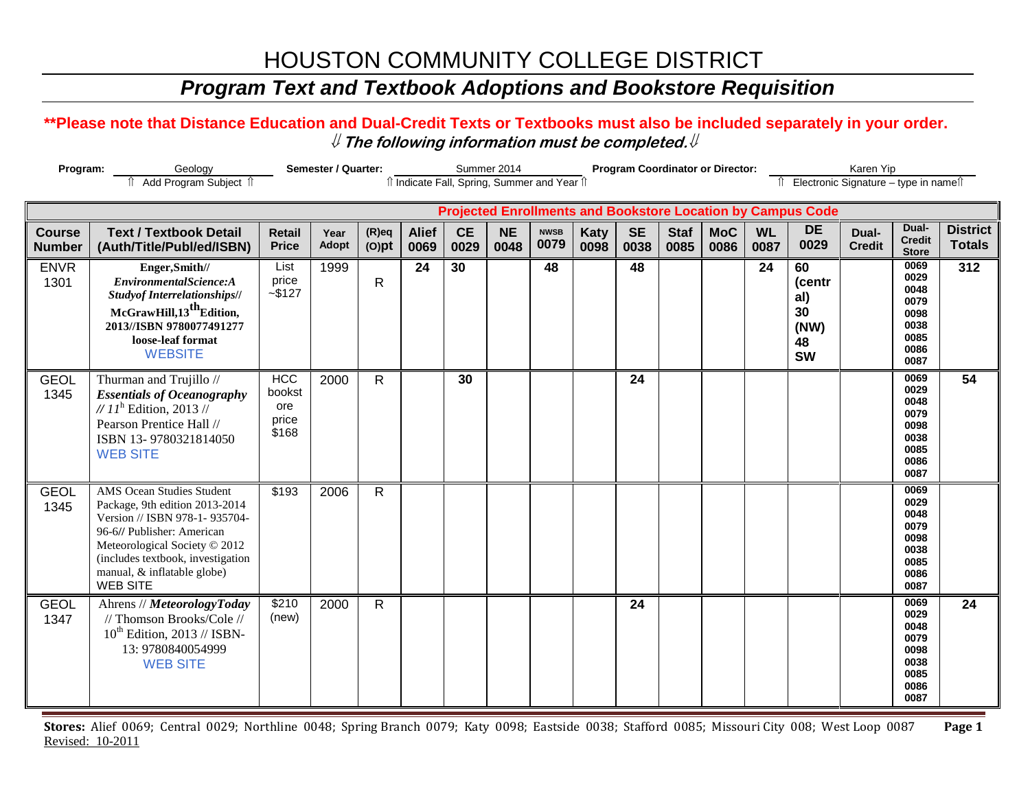## *Program Text and Textbook Adoptions and Bookstore Requisition*

### **\*\*Please note that Distance Education and Dual-Credit Texts or Textbooks must also be included separately in your order.**  ⇓ **The following information must be completed.**⇓

| Semester / Quarter:<br>Program:<br>Geology |                                                                                                                                                                                                                                                           |                                               |               |                      |                                              | Summer 2014       |                   |                     |                     | <b>Program Coordinator or Director:</b> | Karen Yip<br>Îl Electronic Signature - type in nameîl |                    |                   |                                                                    |                        |                                                                      |                                  |
|--------------------------------------------|-----------------------------------------------------------------------------------------------------------------------------------------------------------------------------------------------------------------------------------------------------------|-----------------------------------------------|---------------|----------------------|----------------------------------------------|-------------------|-------------------|---------------------|---------------------|-----------------------------------------|-------------------------------------------------------|--------------------|-------------------|--------------------------------------------------------------------|------------------------|----------------------------------------------------------------------|----------------------------------|
|                                            | Add Program Subject 1                                                                                                                                                                                                                                     |                                               |               |                      | îl Indicate Fall, Spring, Summer and Year îl |                   |                   |                     |                     |                                         |                                                       |                    |                   |                                                                    |                        |                                                                      |                                  |
|                                            |                                                                                                                                                                                                                                                           |                                               |               |                      |                                              |                   |                   |                     |                     |                                         |                                                       |                    |                   | <b>Projected Enrollments and Bookstore Location by Campus Code</b> |                        |                                                                      |                                  |
| <b>Course</b><br><b>Number</b>             | <b>Text / Textbook Detail</b><br>(Auth/Title/Publ/ed/ISBN)                                                                                                                                                                                                | <b>Retail</b><br><b>Price</b>                 | Year<br>Adopt | $(R)$ eq<br>$(O)$ pt | <b>Alief</b><br>0069                         | <b>CE</b><br>0029 | <b>NE</b><br>0048 | <b>NWSB</b><br>0079 | <b>Katy</b><br>0098 | <b>SE</b><br>0038                       | <b>Staf</b><br>0085                                   | <b>MoC</b><br>0086 | <b>WL</b><br>0087 | <b>DE</b><br>0029                                                  | Dual-<br><b>Credit</b> | Dual-<br><b>Credit</b><br><b>Store</b>                               | <b>District</b><br><b>Totals</b> |
| <b>ENVR</b><br>1301                        | Enger, Smith//<br>EnvironmentalScience:A<br><b>Studyof Interrelationships//</b><br>McGrawHill,13 <sup>th</sup> Edition,<br>2013//ISBN 9780077491277<br>loose-leaf format<br><b>WEBSITE</b>                                                                | List<br>price<br>$-$ \$127                    | 1999          | $\mathsf{R}$         | 24                                           | 30                |                   | 48                  |                     | 48                                      |                                                       |                    | 24                | 60<br>(centr<br>al)<br>30<br>(NW)<br>48<br><b>SW</b>               |                        | 0069<br>0029<br>0048<br>0079<br>0098<br>0038<br>0085<br>0086<br>0087 | 312                              |
| <b>GEOL</b><br>1345                        | Thurman and Trujillo //<br><b>Essentials of Oceanography</b><br>// $11^h$ Edition, 2013 //<br>Pearson Prentice Hall //<br>ISBN 13-9780321814050<br><b>WEB SITE</b>                                                                                        | <b>HCC</b><br>bookst<br>ore<br>price<br>\$168 | 2000          | R.                   |                                              | 30                |                   |                     |                     | 24                                      |                                                       |                    |                   |                                                                    |                        | 0069<br>0029<br>0048<br>0079<br>0098<br>0038<br>0085<br>0086<br>0087 | $\overline{54}$                  |
| <b>GEOL</b><br>1345                        | <b>AMS Ocean Studies Student</b><br>Package, 9th edition 2013-2014<br>Version // ISBN 978-1-935704-<br>96-6// Publisher: American<br>Meteorological Society © 2012<br>(includes textbook, investigation<br>manual, & inflatable globe)<br><b>WEB SITE</b> | \$193                                         | 2006          | $\mathsf{R}$         |                                              |                   |                   |                     |                     |                                         |                                                       |                    |                   |                                                                    |                        | 0069<br>0029<br>0048<br>0079<br>0098<br>0038<br>0085<br>0086<br>0087 |                                  |
| <b>GEOL</b><br>1347                        | Ahrens // MeteorologyToday<br>// Thomson Brooks/Cole //<br>$10^{th}$ Edition, 2013 // ISBN-<br>13: 9780840054999<br><b>WEB SITE</b>                                                                                                                       | \$210<br>(new)                                | 2000          | $\mathsf{R}$         |                                              |                   |                   |                     |                     | 24                                      |                                                       |                    |                   |                                                                    |                        | 0069<br>0029<br>0048<br>0079<br>0098<br>0038<br>0085<br>0086<br>0087 | 24                               |

**Stores:** Alief 0069; Central 0029; Northline 0048; Spring Branch 0079; Katy 0098; Eastside 0038; Stafford 0085; Missouri City 008; West Loop 0087 **Page 1** Revised: 10-2011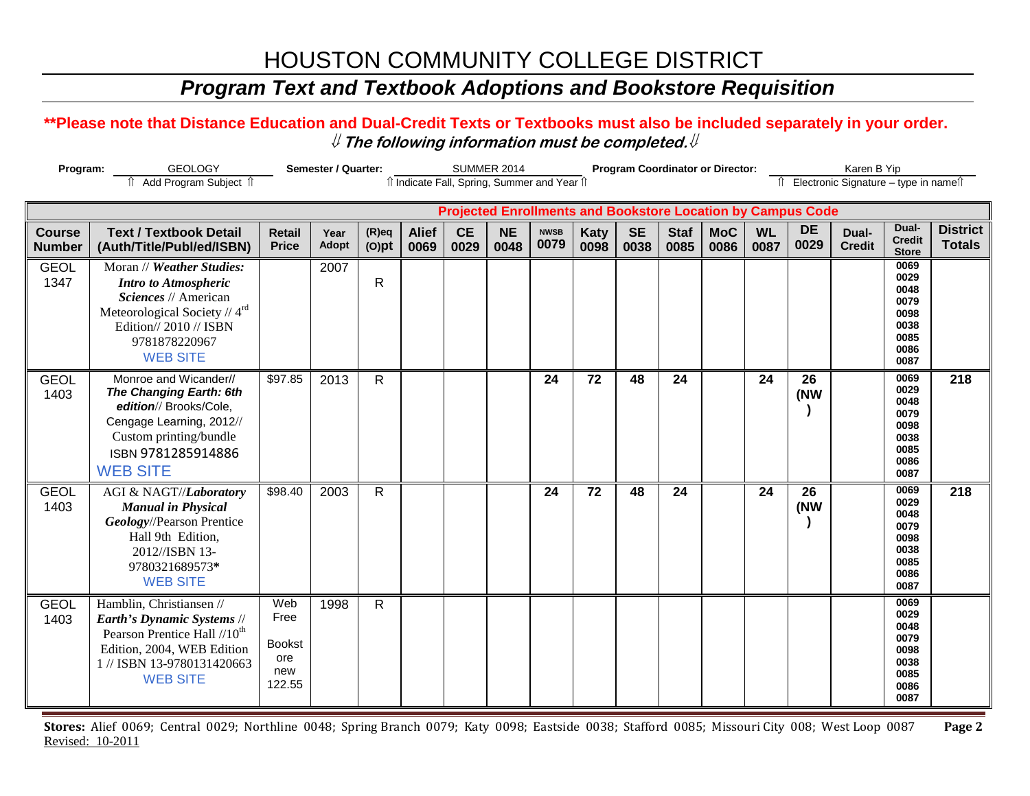## *Program Text and Textbook Adoptions and Bookstore Requisition*

### **\*\*Please note that Distance Education and Dual-Credit Texts or Textbooks must also be included separately in your order.**  ⇓ **The following information must be completed.**⇓

| Program:<br><b>GEOLOGY</b>     |                                                                                                                                                                                   | <b>Semester / Quarter:</b>                           |               |                      | <b>SUMMER 2014</b>   |                   |                   |                     |                     | <b>Program Coordinator or Director:</b>                            |                     |                                          | Karen B Yip       |                   |                        |                                                                      |                                  |
|--------------------------------|-----------------------------------------------------------------------------------------------------------------------------------------------------------------------------------|------------------------------------------------------|---------------|----------------------|----------------------|-------------------|-------------------|---------------------|---------------------|--------------------------------------------------------------------|---------------------|------------------------------------------|-------------------|-------------------|------------------------|----------------------------------------------------------------------|----------------------------------|
|                                | Add Program Subject 1                                                                                                                                                             | îl Indicate Fall, Spring, Summer and Year îl         |               |                      |                      |                   |                   |                     |                     |                                                                    |                     | Îl Electronic Signature - type in nameîl |                   |                   |                        |                                                                      |                                  |
|                                |                                                                                                                                                                                   |                                                      |               |                      |                      |                   |                   |                     |                     | <b>Projected Enrollments and Bookstore Location by Campus Code</b> |                     |                                          |                   |                   |                        |                                                                      |                                  |
| <b>Course</b><br><b>Number</b> | <b>Text / Textbook Detail</b><br>(Auth/Title/Publ/ed/ISBN)                                                                                                                        | <b>Retail</b><br><b>Price</b>                        | Year<br>Adopt | $(R)$ eq<br>$(O)$ pt | <b>Alief</b><br>0069 | <b>CE</b><br>0029 | <b>NE</b><br>0048 | <b>NWSB</b><br>0079 | <b>Katy</b><br>0098 | <b>SE</b><br>0038                                                  | <b>Staf</b><br>0085 | <b>MoC</b><br>0086                       | <b>WL</b><br>0087 | <b>DE</b><br>0029 | Dual-<br><b>Credit</b> | Dual-<br><b>Credit</b><br><b>Store</b>                               | <b>District</b><br><b>Totals</b> |
| <b>GEOL</b><br>1347            | Moran // Weather Studies:<br><b>Intro to Atmospheric</b><br>Sciences // American<br>Meteorological Society // 4rd<br>Edition// 2010 // ISBN<br>9781878220967<br><b>WEB SITE</b>   |                                                      | 2007          | $\mathsf{R}$         |                      |                   |                   |                     |                     |                                                                    |                     |                                          |                   |                   |                        | 0069<br>0029<br>0048<br>0079<br>0098<br>0038<br>0085<br>0086<br>0087 |                                  |
| <b>GEOL</b><br>1403            | Monroe and Wicander//<br>The Changing Earth: 6th<br>edition// Brooks/Cole,<br>Cengage Learning, 2012//<br>Custom printing/bundle<br>ISBN 9781285914886<br><b>WEB SITE</b>         | \$97.85                                              | 2013          | $\mathsf{R}$         |                      |                   |                   | 24                  | 72                  | 48                                                                 | 24                  |                                          | 24                | 26<br>(NW         |                        | 0069<br>0029<br>0048<br>0079<br>0098<br>0038<br>0085<br>0086<br>0087 | 218                              |
| <b>GEOL</b><br>1403            | AGI & NAGT//Laboratory<br><b>Manual in Physical</b><br>Geology//Pearson Prentice<br>Hall 9th Edition,<br>2012//ISBN 13-<br>9780321689573*<br><b>WEB SITE</b>                      | \$98.40                                              | 2003          | $\mathsf{R}$         |                      |                   |                   | 24                  | 72                  | 48                                                                 | 24                  |                                          | 24                | 26<br>(NW         |                        | 0069<br>0029<br>0048<br>0079<br>0098<br>0038<br>0085<br>0086<br>0087 | 218                              |
| <b>GEOL</b><br>1403            | Hamblin, Christiansen //<br>Earth's Dynamic Systems //<br>Pearson Prentice Hall //10 <sup>th</sup><br>Edition, 2004, WEB Edition<br>1 // ISBN 13-9780131420663<br><b>WEB SITE</b> | Web<br>Free<br><b>Bookst</b><br>ore<br>new<br>122.55 | 1998          | R                    |                      |                   |                   |                     |                     |                                                                    |                     |                                          |                   |                   |                        | 0069<br>0029<br>0048<br>0079<br>0098<br>0038<br>0085<br>0086<br>0087 |                                  |

**Stores:** Alief 0069; Central 0029; Northline 0048; Spring Branch 0079; Katy 0098; Eastside 0038; Stafford 0085; Missouri City 008; West Loop 0087 **Page 2** Revised: 10-2011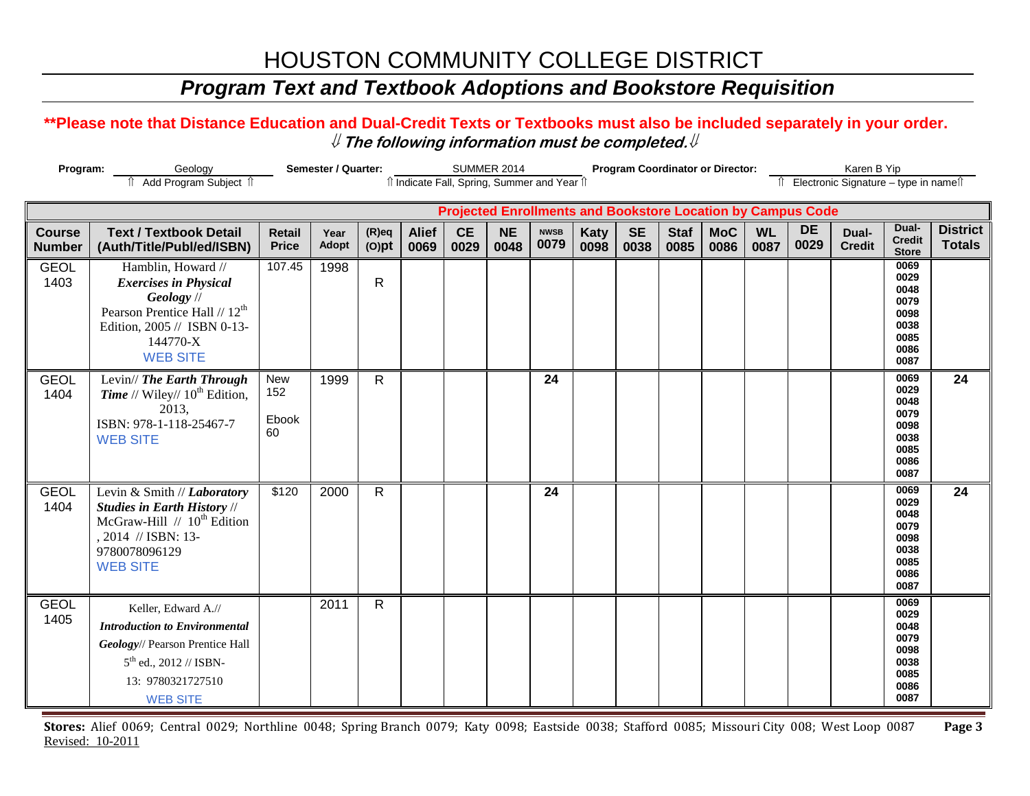## *Program Text and Textbook Adoptions and Bookstore Requisition*

### **\*\*Please note that Distance Education and Dual-Credit Texts or Textbooks must also be included separately in your order.**  ⇓ **The following information must be completed.**⇓

| Program:                       |                                                                                                                                                                             | Semester / Quarter:           |               | <b>SUMMER 2014</b>   |                      |                   |                                              |                     |                     | <b>Program Coordinator or Director:</b> |                     | Karen B Yip        |                   |                                                                    |                                          |                                                                      |                                  |
|--------------------------------|-----------------------------------------------------------------------------------------------------------------------------------------------------------------------------|-------------------------------|---------------|----------------------|----------------------|-------------------|----------------------------------------------|---------------------|---------------------|-----------------------------------------|---------------------|--------------------|-------------------|--------------------------------------------------------------------|------------------------------------------|----------------------------------------------------------------------|----------------------------------|
|                                | Add Program Subject 1                                                                                                                                                       |                               |               |                      |                      |                   | îl Indicate Fall, Spring, Summer and Year îl |                     |                     |                                         |                     |                    |                   |                                                                    | Îl Electronic Signature - type in nameîl |                                                                      |                                  |
|                                |                                                                                                                                                                             |                               |               |                      |                      |                   |                                              |                     |                     |                                         |                     |                    |                   | <b>Projected Enrollments and Bookstore Location by Campus Code</b> |                                          |                                                                      |                                  |
| <b>Course</b><br><b>Number</b> | <b>Text / Textbook Detail</b><br>(Auth/Title/Publ/ed/ISBN)                                                                                                                  | <b>Retail</b><br><b>Price</b> | Year<br>Adopt | $(R)$ eq<br>$(O)$ pt | <b>Alief</b><br>0069 | <b>CE</b><br>0029 | <b>NE</b><br>0048                            | <b>NWSB</b><br>0079 | <b>Katy</b><br>0098 | <b>SE</b><br>0038                       | <b>Staf</b><br>0085 | <b>MoC</b><br>0086 | <b>WL</b><br>0087 | <b>DE</b><br>0029                                                  | Dual-<br><b>Credit</b>                   | Dual-<br><b>Credit</b><br><b>Store</b>                               | <b>District</b><br><b>Totals</b> |
| <b>GEOL</b><br>1403            | Hamblin, Howard //<br><b>Exercises in Physical</b><br>Geology //<br>Pearson Prentice Hall // 12 <sup>th</sup><br>Edition, 2005 // ISBN 0-13-<br>144770-X<br><b>WEB SITE</b> | 107.45                        | 1998          | $\mathsf{R}$         |                      |                   |                                              |                     |                     |                                         |                     |                    |                   |                                                                    |                                          | 0069<br>0029<br>0048<br>0079<br>0098<br>0038<br>0085<br>0086<br>0087 |                                  |
| <b>GEOL</b><br>1404            | Levin// The Earth Through<br><b>Time</b> // Wiley// $10^{th}$ Edition,<br>2013,<br>ISBN: 978-1-118-25467-7<br><b>WEB SITE</b>                                               | New<br>152<br>Ebook<br>60     | 1999          | $\mathsf{R}$         |                      |                   |                                              | 24                  |                     |                                         |                     |                    |                   |                                                                    |                                          | 0069<br>0029<br>0048<br>0079<br>0098<br>0038<br>0085<br>0086<br>0087 | $\overline{24}$                  |
| <b>GEOL</b><br>1404            | Levin & Smith // Laboratory<br><b>Studies in Earth History //</b><br>McGraw-Hill // 10 <sup>th</sup> Edition<br>, 2014 // ISBN: 13-<br>9780078096129<br><b>WEB SITE</b>     | \$120                         | 2000          | $\mathsf{R}$         |                      |                   |                                              | 24                  |                     |                                         |                     |                    |                   |                                                                    |                                          | 0069<br>0029<br>0048<br>0079<br>0098<br>0038<br>0085<br>0086<br>0087 | 24                               |
| <b>GEOL</b><br>1405            | Keller, Edward A.//<br><b>Introduction to Environmental</b><br>Geology// Pearson Prentice Hall<br>$5^{th}$ ed., 2012 // ISBN-<br>13: 9780321727510<br><b>WEB SITE</b>       |                               | 2011          | $\mathsf{R}$         |                      |                   |                                              |                     |                     |                                         |                     |                    |                   |                                                                    |                                          | 0069<br>0029<br>0048<br>0079<br>0098<br>0038<br>0085<br>0086<br>0087 |                                  |

**Stores:** Alief 0069; Central 0029; Northline 0048; Spring Branch 0079; Katy 0098; Eastside 0038; Stafford 0085; Missouri City 008; West Loop 0087 **Page 3** Revised: 10-2011